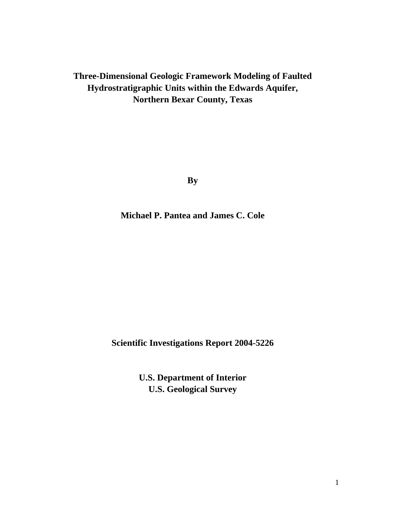# **Three-Dimensional Geologic Framework Modeling of Faulted Hydrostratigraphic Units within the Edwards Aquifer, Northern Bexar County, Texas**

**By** 

**Michael P. Pantea and James C. Cole** 

**Scientific Investigations Report 2004-5226** 

**U.S. Department of Interior U.S. Geological Survey**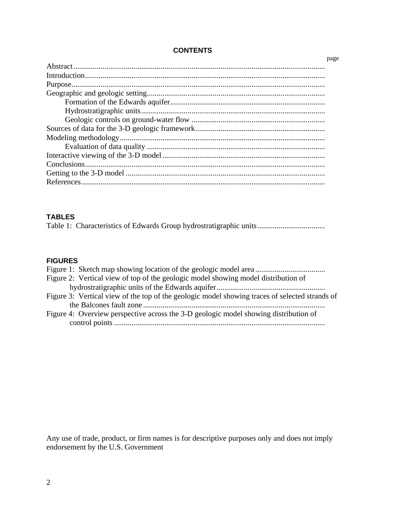# **CONTENTS**

| page |
|------|
|      |
|      |
|      |
|      |
|      |
|      |
|      |
|      |
|      |
|      |
|      |
|      |
|      |
|      |

# **TABLES**

|--|--|--|--|--|

# **FIGURES**

| Figure 2: Vertical view of top of the geologic model showing model distribution of             |
|------------------------------------------------------------------------------------------------|
|                                                                                                |
| Figure 3: Vertical view of the top of the geologic model showing traces of selected strands of |
|                                                                                                |
| Figure 4: Overview perspective across the 3-D geologic model showing distribution of           |
|                                                                                                |

Any use of trade, product, or firm names is for descriptive purposes only and does not imply endorsement by the U.S. Government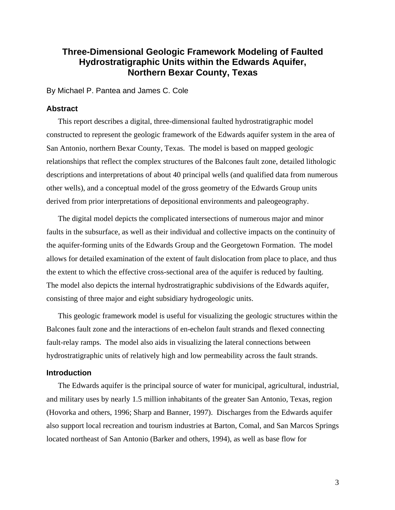# **Three-Dimensional Geologic Framework Modeling of Faulted Hydrostratigraphic Units within the Edwards Aquifer, Northern Bexar County, Texas**

By Michael P. Pantea and James C. Cole

#### **Abstract**

This report describes a digital, three-dimensional faulted hydrostratigraphic model constructed to represent the geologic framework of the Edwards aquifer system in the area of San Antonio, northern Bexar County, Texas. The model is based on mapped geologic relationships that reflect the complex structures of the Balcones fault zone, detailed lithologic descriptions and interpretations of about 40 principal wells (and qualified data from numerous other wells), and a conceptual model of the gross geometry of the Edwards Group units derived from prior interpretations of depositional environments and paleogeography.

The digital model depicts the complicated intersections of numerous major and minor faults in the subsurface, as well as their individual and collective impacts on the continuity of the aquifer-forming units of the Edwards Group and the Georgetown Formation. The model allows for detailed examination of the extent of fault dislocation from place to place, and thus the extent to which the effective cross-sectional area of the aquifer is reduced by faulting. The model also depicts the internal hydrostratigraphic subdivisions of the Edwards aquifer, consisting of three major and eight subsidiary hydrogeologic units.

This geologic framework model is useful for visualizing the geologic structures within the Balcones fault zone and the interactions of en-echelon fault strands and flexed connecting fault-relay ramps. The model also aids in visualizing the lateral connections between hydrostratigraphic units of relatively high and low permeability across the fault strands.

### **Introduction**

The Edwards aquifer is the principal source of water for municipal, agricultural, industrial, and military uses by nearly 1.5 million inhabitants of the greater San Antonio, Texas, region (Hovorka and others, 1996; Sharp and Banner, 1997). Discharges from the Edwards aquifer also support local recreation and tourism industries at Barton, Comal, and San Marcos Springs located northeast of San Antonio (Barker and others, 1994), as well as base flow for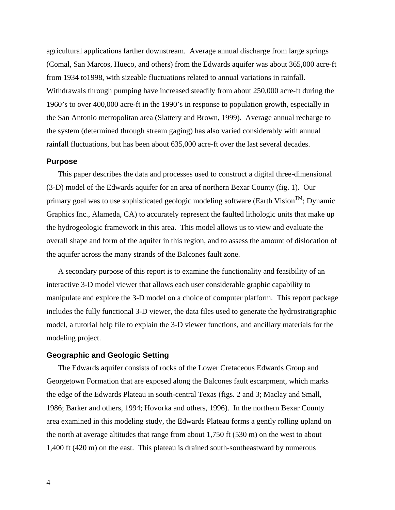agricultural applications farther downstream. Average annual discharge from large springs (Comal, San Marcos, Hueco, and others) from the Edwards aquifer was about 365,000 acre-ft from 1934 to1998, with sizeable fluctuations related to annual variations in rainfall. Withdrawals through pumping have increased steadily from about 250,000 acre-ft during the 1960's to over 400,000 acre-ft in the 1990's in response to population growth, especially in the San Antonio metropolitan area (Slattery and Brown, 1999). Average annual recharge to the system (determined through stream gaging) has also varied considerably with annual rainfall fluctuations, but has been about 635,000 acre-ft over the last several decades.

#### **Purpose**

This paper describes the data and processes used to construct a digital three-dimensional (3-D) model of the Edwards aquifer for an area of northern Bexar County (fig. 1). Our primary goal was to use sophisticated geologic modeling software (Earth Vision<sup>TM</sup>; Dynamic Graphics Inc., Alameda, CA) to accurately represent the faulted lithologic units that make up the hydrogeologic framework in this area. This model allows us to view and evaluate the overall shape and form of the aquifer in this region, and to assess the amount of dislocation of the aquifer across the many strands of the Balcones fault zone.

A secondary purpose of this report is to examine the functionality and feasibility of an interactive 3-D model viewer that allows each user considerable graphic capability to manipulate and explore the 3-D model on a choice of computer platform. This report package includes the fully functional 3-D viewer, the data files used to generate the hydrostratigraphic model, a tutorial help file to explain the 3-D viewer functions, and ancillary materials for the modeling project.

#### **Geographic and Geologic Setting**

The Edwards aquifer consists of rocks of the Lower Cretaceous Edwards Group and Georgetown Formation that are exposed along the Balcones fault escarpment, which marks the edge of the Edwards Plateau in south-central Texas (figs. 2 and 3; Maclay and Small, 1986; Barker and others, 1994; Hovorka and others, 1996). In the northern Bexar County area examined in this modeling study, the Edwards Plateau forms a gently rolling upland on the north at average altitudes that range from about 1,750 ft (530 m) on the west to about 1,400 ft (420 m) on the east. This plateau is drained south-southeastward by numerous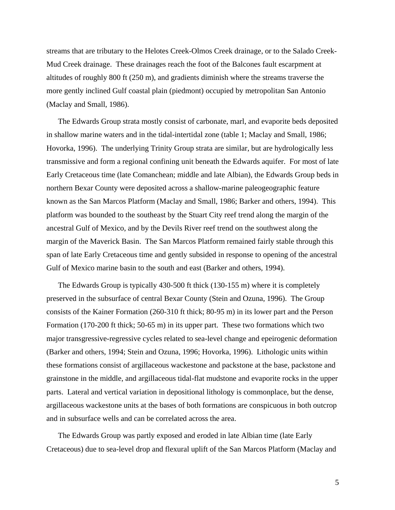streams that are tributary to the Helotes Creek-Olmos Creek drainage, or to the Salado Creek-Mud Creek drainage. These drainages reach the foot of the Balcones fault escarpment at altitudes of roughly 800 ft (250 m), and gradients diminish where the streams traverse the more gently inclined Gulf coastal plain (piedmont) occupied by metropolitan San Antonio (Maclay and Small, 1986).

The Edwards Group strata mostly consist of carbonate, marl, and evaporite beds deposited in shallow marine waters and in the tidal-intertidal zone (table 1; Maclay and Small, 1986; Hovorka, 1996). The underlying Trinity Group strata are similar, but are hydrologically less transmissive and form a regional confining unit beneath the Edwards aquifer. For most of late Early Cretaceous time (late Comanchean; middle and late Albian), the Edwards Group beds in northern Bexar County were deposited across a shallow-marine paleogeographic feature known as the San Marcos Platform (Maclay and Small, 1986; Barker and others, 1994). This platform was bounded to the southeast by the Stuart City reef trend along the margin of the ancestral Gulf of Mexico, and by the Devils River reef trend on the southwest along the margin of the Maverick Basin. The San Marcos Platform remained fairly stable through this span of late Early Cretaceous time and gently subsided in response to opening of the ancestral Gulf of Mexico marine basin to the south and east (Barker and others, 1994).

The Edwards Group is typically 430-500 ft thick (130-155 m) where it is completely preserved in the subsurface of central Bexar County (Stein and Ozuna, 1996). The Group consists of the Kainer Formation (260-310 ft thick; 80-95 m) in its lower part and the Person Formation (170-200 ft thick; 50-65 m) in its upper part. These two formations which two major transgressive-regressive cycles related to sea-level change and epeirogenic deformation (Barker and others, 1994; Stein and Ozuna, 1996; Hovorka, 1996). Lithologic units within these formations consist of argillaceous wackestone and packstone at the base, packstone and grainstone in the middle, and argillaceous tidal-flat mudstone and evaporite rocks in the upper parts. Lateral and vertical variation in depositional lithology is commonplace, but the dense, argillaceous wackestone units at the bases of both formations are conspicuous in both outcrop and in subsurface wells and can be correlated across the area.

The Edwards Group was partly exposed and eroded in late Albian time (late Early Cretaceous) due to sea-level drop and flexural uplift of the San Marcos Platform (Maclay and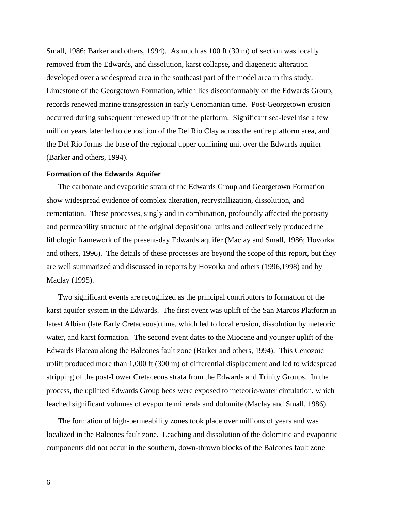Small, 1986; Barker and others, 1994). As much as 100 ft (30 m) of section was locally removed from the Edwards, and dissolution, karst collapse, and diagenetic alteration developed over a widespread area in the southeast part of the model area in this study. Limestone of the Georgetown Formation, which lies disconformably on the Edwards Group, records renewed marine transgression in early Cenomanian time. Post-Georgetown erosion occurred during subsequent renewed uplift of the platform. Significant sea-level rise a few million years later led to deposition of the Del Rio Clay across the entire platform area, and the Del Rio forms the base of the regional upper confining unit over the Edwards aquifer (Barker and others, 1994).

#### **Formation of the Edwards Aquifer**

The carbonate and evaporitic strata of the Edwards Group and Georgetown Formation show widespread evidence of complex alteration, recrystallization, dissolution, and cementation. These processes, singly and in combination, profoundly affected the porosity and permeability structure of the original depositional units and collectively produced the lithologic framework of the present-day Edwards aquifer (Maclay and Small, 1986; Hovorka and others, 1996). The details of these processes are beyond the scope of this report, but they are well summarized and discussed in reports by Hovorka and others (1996,1998) and by Maclay (1995).

Two significant events are recognized as the principal contributors to formation of the karst aquifer system in the Edwards. The first event was uplift of the San Marcos Platform in latest Albian (late Early Cretaceous) time, which led to local erosion, dissolution by meteoric water, and karst formation. The second event dates to the Miocene and younger uplift of the Edwards Plateau along the Balcones fault zone (Barker and others, 1994). This Cenozoic uplift produced more than 1,000 ft (300 m) of differential displacement and led to widespread stripping of the post-Lower Cretaceous strata from the Edwards and Trinity Groups. In the process, the uplifted Edwards Group beds were exposed to meteoric-water circulation, which leached significant volumes of evaporite minerals and dolomite (Maclay and Small, 1986).

The formation of high-permeability zones took place over millions of years and was localized in the Balcones fault zone. Leaching and dissolution of the dolomitic and evaporitic components did not occur in the southern, down-thrown blocks of the Balcones fault zone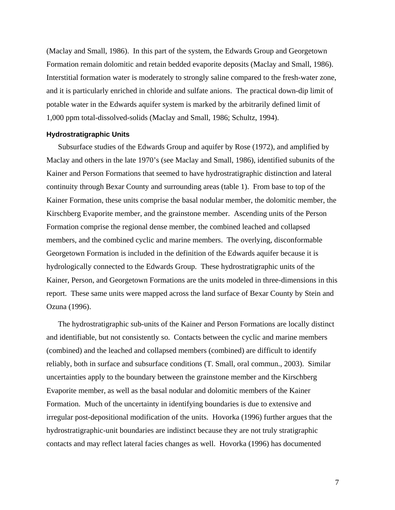(Maclay and Small, 1986). In this part of the system, the Edwards Group and Georgetown Formation remain dolomitic and retain bedded evaporite deposits (Maclay and Small, 1986). Interstitial formation water is moderately to strongly saline compared to the fresh-water zone, and it is particularly enriched in chloride and sulfate anions. The practical down-dip limit of potable water in the Edwards aquifer system is marked by the arbitrarily defined limit of 1,000 ppm total-dissolved-solids (Maclay and Small, 1986; Schultz, 1994).

#### **Hydrostratigraphic Units**

Subsurface studies of the Edwards Group and aquifer by Rose (1972), and amplified by Maclay and others in the late 1970's (see Maclay and Small, 1986), identified subunits of the Kainer and Person Formations that seemed to have hydrostratigraphic distinction and lateral continuity through Bexar County and surrounding areas (table 1). From base to top of the Kainer Formation, these units comprise the basal nodular member, the dolomitic member, the Kirschberg Evaporite member, and the grainstone member. Ascending units of the Person Formation comprise the regional dense member, the combined leached and collapsed members, and the combined cyclic and marine members. The overlying, disconformable Georgetown Formation is included in the definition of the Edwards aquifer because it is hydrologically connected to the Edwards Group. These hydrostratigraphic units of the Kainer, Person, and Georgetown Formations are the units modeled in three-dimensions in this report. These same units were mapped across the land surface of Bexar County by Stein and Ozuna (1996).

The hydrostratigraphic sub-units of the Kainer and Person Formations are locally distinct and identifiable, but not consistently so. Contacts between the cyclic and marine members (combined) and the leached and collapsed members (combined) are difficult to identify reliably, both in surface and subsurface conditions (T. Small, oral commun., 2003). Similar uncertainties apply to the boundary between the grainstone member and the Kirschberg Evaporite member, as well as the basal nodular and dolomitic members of the Kainer Formation. Much of the uncertainty in identifying boundaries is due to extensive and irregular post-depositional modification of the units. Hovorka (1996) further argues that the hydrostratigraphic-unit boundaries are indistinct because they are not truly stratigraphic contacts and may reflect lateral facies changes as well. Hovorka (1996) has documented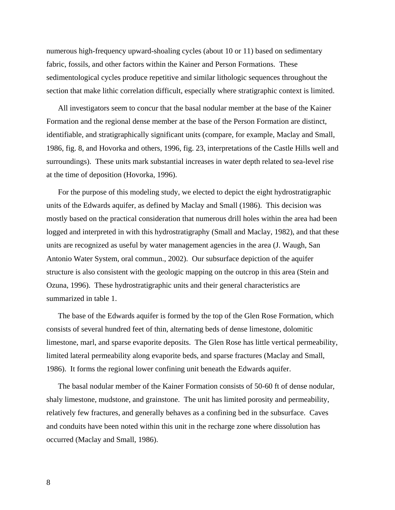numerous high-frequency upward-shoaling cycles (about 10 or 11) based on sedimentary fabric, fossils, and other factors within the Kainer and Person Formations. These sedimentological cycles produce repetitive and similar lithologic sequences throughout the section that make lithic correlation difficult, especially where stratigraphic context is limited.

All investigators seem to concur that the basal nodular member at the base of the Kainer Formation and the regional dense member at the base of the Person Formation are distinct, identifiable, and stratigraphically significant units (compare, for example, Maclay and Small, 1986, fig. 8, and Hovorka and others, 1996, fig. 23, interpretations of the Castle Hills well and surroundings). These units mark substantial increases in water depth related to sea-level rise at the time of deposition (Hovorka, 1996).

For the purpose of this modeling study, we elected to depict the eight hydrostratigraphic units of the Edwards aquifer, as defined by Maclay and Small (1986). This decision was mostly based on the practical consideration that numerous drill holes within the area had been logged and interpreted in with this hydrostratigraphy (Small and Maclay, 1982), and that these units are recognized as useful by water management agencies in the area (J. Waugh, San Antonio Water System, oral commun., 2002). Our subsurface depiction of the aquifer structure is also consistent with the geologic mapping on the outcrop in this area (Stein and Ozuna, 1996). These hydrostratigraphic units and their general characteristics are summarized in table 1.

The base of the Edwards aquifer is formed by the top of the Glen Rose Formation, which consists of several hundred feet of thin, alternating beds of dense limestone, dolomitic limestone, marl, and sparse evaporite deposits. The Glen Rose has little vertical permeability, limited lateral permeability along evaporite beds, and sparse fractures (Maclay and Small, 1986). It forms the regional lower confining unit beneath the Edwards aquifer.

The basal nodular member of the Kainer Formation consists of 50-60 ft of dense nodular, shaly limestone, mudstone, and grainstone. The unit has limited porosity and permeability, relatively few fractures, and generally behaves as a confining bed in the subsurface. Caves and conduits have been noted within this unit in the recharge zone where dissolution has occurred (Maclay and Small, 1986).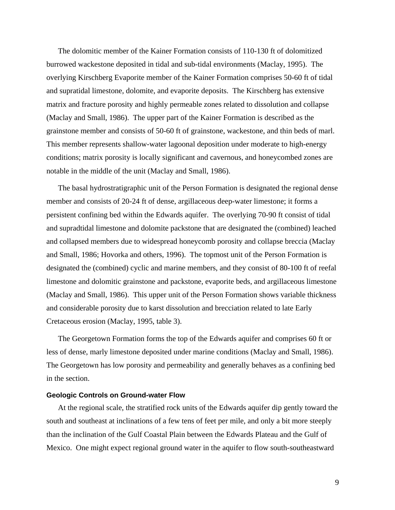The dolomitic member of the Kainer Formation consists of 110-130 ft of dolomitized burrowed wackestone deposited in tidal and sub-tidal environments (Maclay, 1995). The overlying Kirschberg Evaporite member of the Kainer Formation comprises 50-60 ft of tidal and supratidal limestone, dolomite, and evaporite deposits. The Kirschberg has extensive matrix and fracture porosity and highly permeable zones related to dissolution and collapse (Maclay and Small, 1986). The upper part of the Kainer Formation is described as the grainstone member and consists of 50-60 ft of grainstone, wackestone, and thin beds of marl. This member represents shallow-water lagoonal deposition under moderate to high-energy conditions; matrix porosity is locally significant and cavernous, and honeycombed zones are notable in the middle of the unit (Maclay and Small, 1986).

The basal hydrostratigraphic unit of the Person Formation is designated the regional dense member and consists of 20-24 ft of dense, argillaceous deep-water limestone; it forms a persistent confining bed within the Edwards aquifer. The overlying 70-90 ft consist of tidal and supradtidal limestone and dolomite packstone that are designated the (combined) leached and collapsed members due to widespread honeycomb porosity and collapse breccia (Maclay and Small, 1986; Hovorka and others, 1996). The topmost unit of the Person Formation is designated the (combined) cyclic and marine members, and they consist of 80-100 ft of reefal limestone and dolomitic grainstone and packstone, evaporite beds, and argillaceous limestone (Maclay and Small, 1986). This upper unit of the Person Formation shows variable thickness and considerable porosity due to karst dissolution and brecciation related to late Early Cretaceous erosion (Maclay, 1995, table 3).

The Georgetown Formation forms the top of the Edwards aquifer and comprises 60 ft or less of dense, marly limestone deposited under marine conditions (Maclay and Small, 1986). The Georgetown has low porosity and permeability and generally behaves as a confining bed in the section.

#### **Geologic Controls on Ground-water Flow**

At the regional scale, the stratified rock units of the Edwards aquifer dip gently toward the south and southeast at inclinations of a few tens of feet per mile, and only a bit more steeply than the inclination of the Gulf Coastal Plain between the Edwards Plateau and the Gulf of Mexico. One might expect regional ground water in the aquifer to flow south-southeastward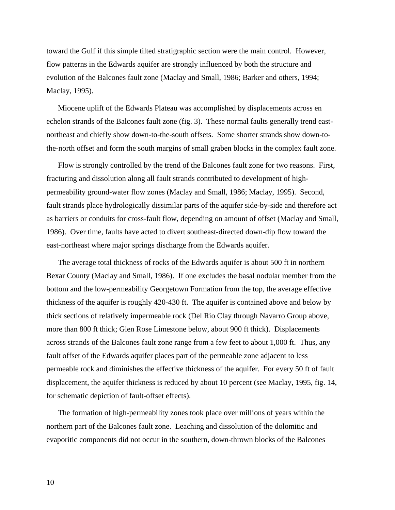toward the Gulf if this simple tilted stratigraphic section were the main control. However, flow patterns in the Edwards aquifer are strongly influenced by both the structure and evolution of the Balcones fault zone (Maclay and Small, 1986; Barker and others, 1994; Maclay, 1995).

Miocene uplift of the Edwards Plateau was accomplished by displacements across en echelon strands of the Balcones fault zone (fig. 3). These normal faults generally trend eastnortheast and chiefly show down-to-the-south offsets. Some shorter strands show down-tothe-north offset and form the south margins of small graben blocks in the complex fault zone.

Flow is strongly controlled by the trend of the Balcones fault zone for two reasons. First, fracturing and dissolution along all fault strands contributed to development of highpermeability ground-water flow zones (Maclay and Small, 1986; Maclay, 1995). Second, fault strands place hydrologically dissimilar parts of the aquifer side-by-side and therefore act as barriers or conduits for cross-fault flow, depending on amount of offset (Maclay and Small, 1986). Over time, faults have acted to divert southeast-directed down-dip flow toward the east-northeast where major springs discharge from the Edwards aquifer.

The average total thickness of rocks of the Edwards aquifer is about 500 ft in northern Bexar County (Maclay and Small, 1986). If one excludes the basal nodular member from the bottom and the low-permeability Georgetown Formation from the top, the average effective thickness of the aquifer is roughly 420-430 ft. The aquifer is contained above and below by thick sections of relatively impermeable rock (Del Rio Clay through Navarro Group above, more than 800 ft thick; Glen Rose Limestone below, about 900 ft thick). Displacements across strands of the Balcones fault zone range from a few feet to about 1,000 ft. Thus, any fault offset of the Edwards aquifer places part of the permeable zone adjacent to less permeable rock and diminishes the effective thickness of the aquifer. For every 50 ft of fault displacement, the aquifer thickness is reduced by about 10 percent (see Maclay, 1995, fig. 14, for schematic depiction of fault-offset effects).

The formation of high-permeability zones took place over millions of years within the northern part of the Balcones fault zone. Leaching and dissolution of the dolomitic and evaporitic components did not occur in the southern, down-thrown blocks of the Balcones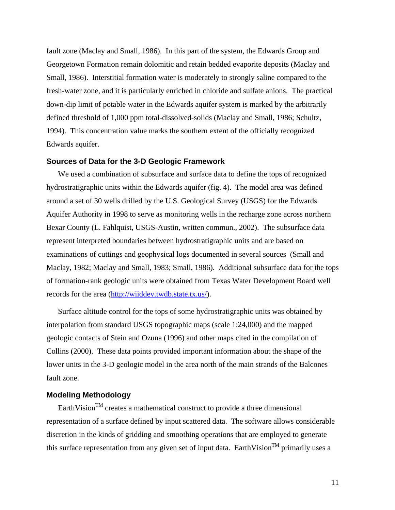fault zone (Maclay and Small, 1986). In this part of the system, the Edwards Group and Georgetown Formation remain dolomitic and retain bedded evaporite deposits (Maclay and Small, 1986). Interstitial formation water is moderately to strongly saline compared to the fresh-water zone, and it is particularly enriched in chloride and sulfate anions. The practical down-dip limit of potable water in the Edwards aquifer system is marked by the arbitrarily defined threshold of 1,000 ppm total-dissolved-solids (Maclay and Small, 1986; Schultz, 1994). This concentration value marks the southern extent of the officially recognized Edwards aquifer.

#### **Sources of Data for the 3-D Geologic Framework**

We used a combination of subsurface and surface data to define the tops of recognized hydrostratigraphic units within the Edwards aquifer (fig. 4). The model area was defined around a set of 30 wells drilled by the U.S. Geological Survey (USGS) for the Edwards Aquifer Authority in 1998 to serve as monitoring wells in the recharge zone across northern Bexar County (L. Fahlquist, USGS-Austin, written commun., 2002). The subsurface data represent interpreted boundaries between hydrostratigraphic units and are based on examinations of cuttings and geophysical logs documented in several sources (Small and Maclay, 1982; Maclay and Small, 1983; Small, 1986). Additional subsurface data for the tops of formation-rank geologic units were obtained from Texas Water Development Board well records for the area ([http://wiiddev.twdb.state.tx.us/\)](http://wiiddev.twdb.state.tx.us/).

Surface altitude control for the tops of some hydrostratigraphic units was obtained by interpolation from standard USGS topographic maps (scale 1:24,000) and the mapped geologic contacts of Stein and Ozuna (1996) and other maps cited in the compilation of Collins (2000). These data points provided important information about the shape of the lower units in the 3-D geologic model in the area north of the main strands of the Balcones fault zone.

### **Modeling Methodology**

EarthVision<sup>TM</sup> creates a mathematical construct to provide a three dimensional representation of a surface defined by input scattered data. The software allows considerable discretion in the kinds of gridding and smoothing operations that are employed to generate this surface representation from any given set of input data. EarthVision<sup>TM</sup> primarily uses a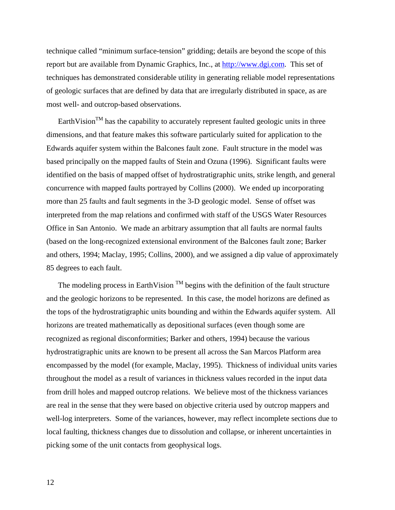technique called "minimum surface-tension" gridding; details are beyond the scope of this report but are available from Dynamic Graphics, Inc., at [http://www.dgi.com](http://www,dgi.com/). This set of techniques has demonstrated considerable utility in generating reliable model representations of geologic surfaces that are defined by data that are irregularly distributed in space, as are most well- and outcrop-based observations.

EarthVision<sup>TM</sup> has the capability to accurately represent faulted geologic units in three dimensions, and that feature makes this software particularly suited for application to the Edwards aquifer system within the Balcones fault zone. Fault structure in the model was based principally on the mapped faults of Stein and Ozuna (1996). Significant faults were identified on the basis of mapped offset of hydrostratigraphic units, strike length, and general concurrence with mapped faults portrayed by Collins (2000). We ended up incorporating more than 25 faults and fault segments in the 3-D geologic model. Sense of offset was interpreted from the map relations and confirmed with staff of the USGS Water Resources Office in San Antonio. We made an arbitrary assumption that all faults are normal faults (based on the long-recognized extensional environment of the Balcones fault zone; Barker and others, 1994; Maclay, 1995; Collins, 2000), and we assigned a dip value of approximately 85 degrees to each fault.

The modeling process in EarthVision  $<sup>TM</sup>$  begins with the definition of the fault structure</sup> and the geologic horizons to be represented. In this case, the model horizons are defined as the tops of the hydrostratigraphic units bounding and within the Edwards aquifer system. All horizons are treated mathematically as depositional surfaces (even though some are recognized as regional disconformities; Barker and others, 1994) because the various hydrostratigraphic units are known to be present all across the San Marcos Platform area encompassed by the model (for example, Maclay, 1995). Thickness of individual units varies throughout the model as a result of variances in thickness values recorded in the input data from drill holes and mapped outcrop relations. We believe most of the thickness variances are real in the sense that they were based on objective criteria used by outcrop mappers and well-log interpreters. Some of the variances, however, may reflect incomplete sections due to local faulting, thickness changes due to dissolution and collapse, or inherent uncertainties in picking some of the unit contacts from geophysical logs.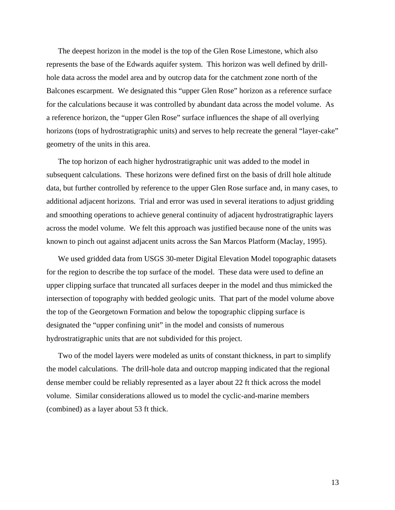The deepest horizon in the model is the top of the Glen Rose Limestone, which also represents the base of the Edwards aquifer system. This horizon was well defined by drillhole data across the model area and by outcrop data for the catchment zone north of the Balcones escarpment. We designated this "upper Glen Rose" horizon as a reference surface for the calculations because it was controlled by abundant data across the model volume. As a reference horizon, the "upper Glen Rose" surface influences the shape of all overlying horizons (tops of hydrostratigraphic units) and serves to help recreate the general "layer-cake" geometry of the units in this area.

The top horizon of each higher hydrostratigraphic unit was added to the model in subsequent calculations. These horizons were defined first on the basis of drill hole altitude data, but further controlled by reference to the upper Glen Rose surface and, in many cases, to additional adjacent horizons. Trial and error was used in several iterations to adjust gridding and smoothing operations to achieve general continuity of adjacent hydrostratigraphic layers across the model volume. We felt this approach was justified because none of the units was known to pinch out against adjacent units across the San Marcos Platform (Maclay, 1995).

We used gridded data from USGS 30-meter Digital Elevation Model topographic datasets for the region to describe the top surface of the model. These data were used to define an upper clipping surface that truncated all surfaces deeper in the model and thus mimicked the intersection of topography with bedded geologic units. That part of the model volume above the top of the Georgetown Formation and below the topographic clipping surface is designated the "upper confining unit" in the model and consists of numerous hydrostratigraphic units that are not subdivided for this project.

Two of the model layers were modeled as units of constant thickness, in part to simplify the model calculations. The drill-hole data and outcrop mapping indicated that the regional dense member could be reliably represented as a layer about 22 ft thick across the model volume. Similar considerations allowed us to model the cyclic-and-marine members (combined) as a layer about 53 ft thick.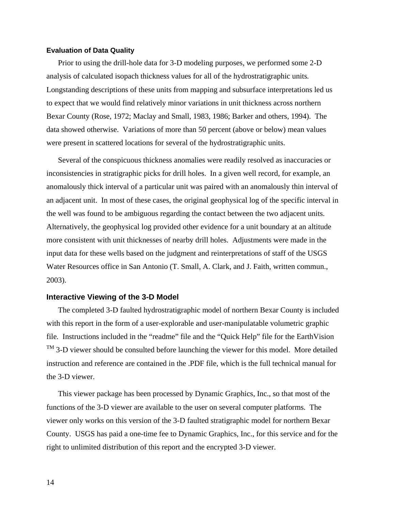#### **Evaluation of Data Quality**

Prior to using the drill-hole data for 3-D modeling purposes, we performed some 2-D analysis of calculated isopach thickness values for all of the hydrostratigraphic units*.* Longstanding descriptions of these units from mapping and subsurface interpretations led us to expect that we would find relatively minor variations in unit thickness across northern Bexar County (Rose, 1972; Maclay and Small, 1983, 1986; Barker and others, 1994). The data showed otherwise. Variations of more than 50 percent (above or below) mean values were present in scattered locations for several of the hydrostratigraphic units.

Several of the conspicuous thickness anomalies were readily resolved as inaccuracies or inconsistencies in stratigraphic picks for drill holes. In a given well record, for example, an anomalously thick interval of a particular unit was paired with an anomalously thin interval of an adjacent unit. In most of these cases, the original geophysical log of the specific interval in the well was found to be ambiguous regarding the contact between the two adjacent units. Alternatively, the geophysical log provided other evidence for a unit boundary at an altitude more consistent with unit thicknesses of nearby drill holes. Adjustments were made in the input data for these wells based on the judgment and reinterpretations of staff of the USGS Water Resources office in San Antonio (T. Small, A. Clark, and J. Faith, written commun., 2003).

## **Interactive Viewing of the 3-D Model**

The completed 3-D faulted hydrostratigraphic model of northern Bexar County is included with this report in the form of a user-explorable and user-manipulatable volumetric graphic file*.* Instructions included in the "readme" file and the "Quick Help" file for the EarthVision TM 3-D viewer should be consulted before launching the viewer for this model. More detailed instruction and reference are contained in the .PDF file, which is the full technical manual for the 3-D viewer.

This viewer package has been processed by Dynamic Graphics, Inc., so that most of the functions of the 3-D viewer are available to the user on several computer platforms. The viewer only works on this version of the 3-D faulted stratigraphic model for northern Bexar County. USGS has paid a one-time fee to Dynamic Graphics, Inc., for this service and for the right to unlimited distribution of this report and the encrypted 3-D viewer.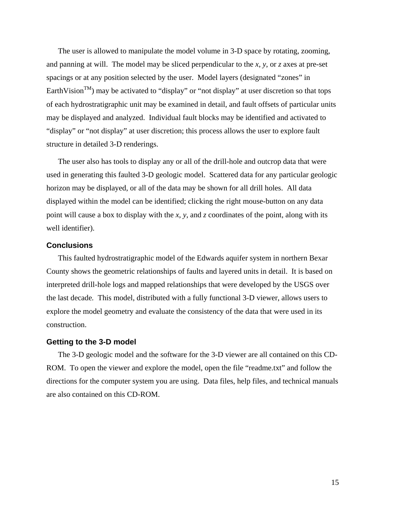The user is allowed to manipulate the model volume in 3-D space by rotating, zooming, and panning at will. The model may be sliced perpendicular to the *x*, *y*, or *z* axes at pre-set spacings or at any position selected by the user. Model layers (designated "zones" in EarthVision<sup>TM</sup>) may be activated to "display" or "not display" at user discretion so that tops of each hydrostratigraphic unit may be examined in detail, and fault offsets of particular units may be displayed and analyzed. Individual fault blocks may be identified and activated to "display" or "not display" at user discretion; this process allows the user to explore fault structure in detailed 3-D renderings.

The user also has tools to display any or all of the drill-hole and outcrop data that were used in generating this faulted 3-D geologic model. Scattered data for any particular geologic horizon may be displayed, or all of the data may be shown for all drill holes. All data displayed within the model can be identified; clicking the right mouse-button on any data point will cause a box to display with the *x*, *y*, and *z* coordinates of the point, along with its well identifier).

## **Conclusions**

This faulted hydrostratigraphic model of the Edwards aquifer system in northern Bexar County shows the geometric relationships of faults and layered units in detail. It is based on interpreted drill-hole logs and mapped relationships that were developed by the USGS over the last decade*.* This model, distributed with a fully functional 3-D viewer, allows users to explore the model geometry and evaluate the consistency of the data that were used in its construction.

#### **Getting to the 3-D model**

The 3-D geologic model and the software for the 3-D viewer are all contained on this CD-ROM. To open the viewer and explore the model, open the file "readme.txt" and follow the directions for the computer system you are using. Data files, help files, and technical manuals are also contained on this CD-ROM.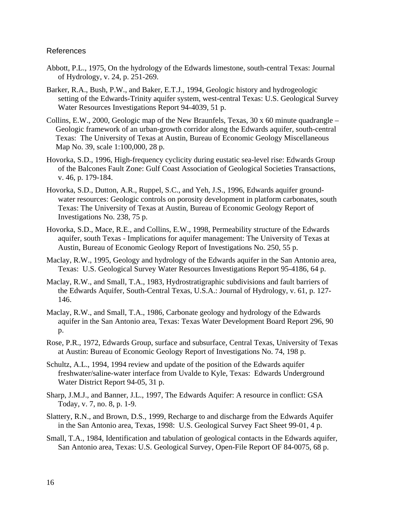# References

- Abbott, P.L., 1975, On the hydrology of the Edwards limestone, south-central Texas: Journal of Hydrology, v. 24, p. 251-269.
- Barker, R.A., Bush, P.W., and Baker, E.T.J., 1994, Geologic history and hydrogeologic setting of the Edwards-Trinity aquifer system, west-central Texas: U.S. Geological Survey Water Resources Investigations Report 94-4039, 51 p.
- Collins, E.W., 2000, Geologic map of the New Braunfels, Texas, 30 x 60 minute quadrangle Geologic framework of an urban-growth corridor along the Edwards aquifer, south-central Texas: The University of Texas at Austin, Bureau of Economic Geology Miscellaneous Map No. 39, scale 1:100,000, 28 p.
- Hovorka, S.D., 1996, High-frequency cyclicity during eustatic sea-level rise: Edwards Group of the Balcones Fault Zone: Gulf Coast Association of Geological Societies Transactions, v. 46, p. 179-184.
- Hovorka, S.D., Dutton, A.R., Ruppel, S.C., and Yeh, J.S., 1996, Edwards aquifer groundwater resources: Geologic controls on porosity development in platform carbonates, south Texas: The University of Texas at Austin, Bureau of Economic Geology Report of Investigations No. 238, 75 p.
- Hovorka, S.D., Mace, R.E., and Collins, E.W., 1998, Permeability structure of the Edwards aquifer, south Texas - Implications for aquifer management: The University of Texas at Austin, Bureau of Economic Geology Report of Investigations No. 250, 55 p.
- Maclay, R.W., 1995, Geology and hydrology of the Edwards aquifer in the San Antonio area, Texas: U.S. Geological Survey Water Resources Investigations Report 95-4186, 64 p.
- Maclay, R.W., and Small, T.A., 1983, Hydrostratigraphic subdivisions and fault barriers of the Edwards Aquifer, South-Central Texas, U.S.A.: Journal of Hydrology, v. 61, p. 127- 146.
- Maclay, R.W., and Small, T.A., 1986, Carbonate geology and hydrology of the Edwards aquifer in the San Antonio area, Texas: Texas Water Development Board Report 296, 90 p.
- Rose, P.R., 1972, Edwards Group, surface and subsurface, Central Texas, University of Texas at Austin: Bureau of Economic Geology Report of Investigations No. 74, 198 p.
- Schultz, A.L., 1994, 1994 review and update of the position of the Edwards aquifer freshwater/saline-water interface from Uvalde to Kyle, Texas: Edwards Underground Water District Report 94-05, 31 p.
- Sharp, J.M.J., and Banner, J.L., 1997, The Edwards Aquifer: A resource in conflict: GSA Today, v. 7, no. 8, p. 1-9.
- Slattery, R.N., and Brown, D.S., 1999, Recharge to and discharge from the Edwards Aquifer in the San Antonio area, Texas, 1998: U.S. Geological Survey Fact Sheet 99-01, 4 p.
- Small, T.A., 1984, Identification and tabulation of geological contacts in the Edwards aquifer, San Antonio area, Texas: U.S. Geological Survey, Open-File Report OF 84-0075, 68 p.